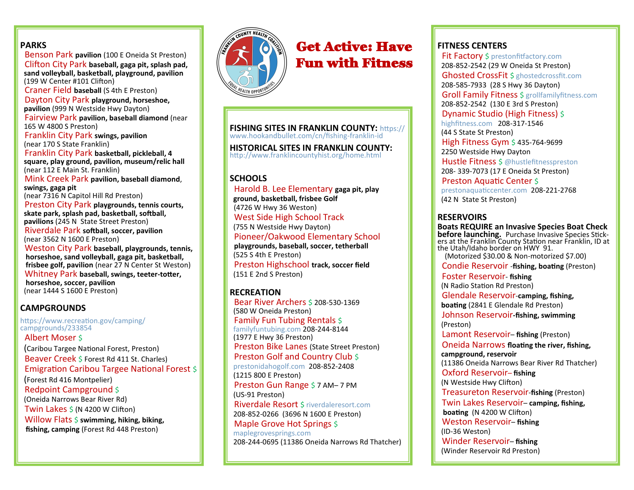### **PARKS**

 Benson Park **pavilion** (100 E Oneida St Preston) Clifton City Park **baseball, gaga pit, splash pad, sand volleyball, basketball, playground, pavilion**  (199 W Center #101 Clifton)

 Craner Field **baseball** (S 4th E Preston) Dayton City Park **playground, horseshoe,** 

 **pavilion** (999 N Westside Hwy Dayton)

 Fairview Park **pavilion, baseball diamond** (near 165 W 4800 S Preston)

 Franklin City Park **swings, pavilion** (near 170 S State Franklin)

 Franklin City Park **basketball, pickleball, 4 square, play ground, pavilion, museum/relic hall**  (near 112 E Main St. Franklin)

 Mink Creek Park **pavilion, baseball diamond**, **swings, gaga pit** 

(near 7316 N Capitol Hill Rd Preston)

 Preston City Park **playgrounds, tennis courts, skate park, splash pad, basketball, softball, pavilions** (245 N State Street Preston) Riverdale Park **softball, soccer, pavilion** (near 3562 N 1600 E Preston)

 Weston City Park **baseball, playgrounds, tennis, horseshoe, sand volleyball, gaga pit, basketball, frisbee golf, pavilion** (near 27 N Center St Weston) Whitney Park **baseball, swings, teeter-totter,** 

 **horseshoe, soccer, pavilion** (near 1444 S 1600 E Preston)

### **CAMPGROUNDS**

https://www.recreation.gov/camping/ campgrounds/233854

 Albert Moser \$ (Caribou Targee National Forest, Preston) Beaver Creek \$ Forest Rd 411 St. Charles) Emigration Caribou Targee National Forest \$ (Forest Rd 416 Montpelier) Redpoint Campground \$ (Oneida Narrows Bear River Rd) Twin Lakes  $\frac{1}{2}$  (N 4200 W Clifton)

 Willow Flats \$ **swimming, hiking, biking, fishing, camping** (Forest Rd 448 Preston)



# Get Active: Have Fun with Fitness

**FISHING SITES IN FRANKLIN COUNTY:** https:// www.hookandbullet.com/cn/fishing-franklin-id

**HISTORICAL SITES IN FRANKLIN COUNTY:**  http://www.franklincountyhist.org/home.html

### **SCHOOLS**

 Harold B. Lee Elementary **gaga pit, play ground, basketball, frisbee Golf** (4726 W Hwy 36 Weston) West Side High School Track (755 N Westside Hwy Dayton) Pioneer/Oakwood Elementary School **playgrounds, baseball, soccer, tetherball** (525 S 4th E Preston) Preston Highschool **track, soccer field**  (151 E 2nd S Preston)

### **RECREATION**

 Bear River Archers \$ 208-530-1369 (580 W Oneida Preston) Family Fun Tubing Rentals \$ familyfuntubing.com 208-244-8144 (1977 E Hwy 36 Preston) Preston Bike Lanes (State Street Preston) Preston Golf and Country Club \$ prestonidahogolf.com 208-852-2408 (1215 800 E Preston) Preston Gun Range \$ 7 AM– 7 PM (US-91 Preston) Riverdale Resort \$ riverdaleresort.com 208-852-0266 (3696 N 1600 E Preston) Maple Grove Hot Springs \$ maplegrovesprings.com 208-244-0695 (11386 Oneida Narrows Rd Thatcher)

# **FITNESS CENTERS**

Fit Factory \$ prestonfitfactory.com 208-852-2542 (29 W Oneida St Preston) Ghosted CrossFit \$ ghostedcrossfit.com 208-585-7933 (28 S Hwy 36 Dayton) Groll Family Fitness \$ grollfamilyfitness.com 208-852-2542 (130 E 3rd S Preston) Dynamic Studio (High Fitness) \$ highfitness.com 208-317-1546 (44 S State St Preston) High Fitness Gym \$435-764-9699 2250 Westside Hwy Dayton Hustle Fitness \$ @hustlefitnesspreston 208- 339-7073 (17 E Oneida St Preston) Preston Aquatic Center \$ prestonaquaticcenter.com 208-221-2768 (42 N State St Preston)

### **RESERVOIRS**

**Boats REQUIRE an Invasive Species Boat Check before launching.** Purchase Invasive Species Stickers at the Franklin County Station near Franklin, ID at the Utah/Idaho border on HWY 91. (Motorized \$30.00 & Non-motorized \$7.00)

Condie Reservoir -**fishing, boating** (Preston)

 Foster Reservoir- **fishing** (N Radio Station Rd Preston) Glendale Reservoir-**camping, fishing, boating** (2841 E Glendale Rd Preston) Johnson Reservoir**-fishing, swimming** (Preston)

Lamont Reservoir– **fishing** (Preston)

 Oneida Narrows **floating the river, fishing, campground, reservoir**

(11386 Oneida Narrows Bear River Rd Thatcher)

Oxford Reservoir– **fishing**

(N Westside Hwy Clifton)

Treasureton Reservoir-**fishing** (Preston)

 Twin Lakes Reservoir– **camping, fishing, boating** (N 4200 W Clifton) Weston Reservoir– **fishing** (ID-36 Weston)

Winder Reservoir– **fishing** 

(Winder Reservoir Rd Preston)